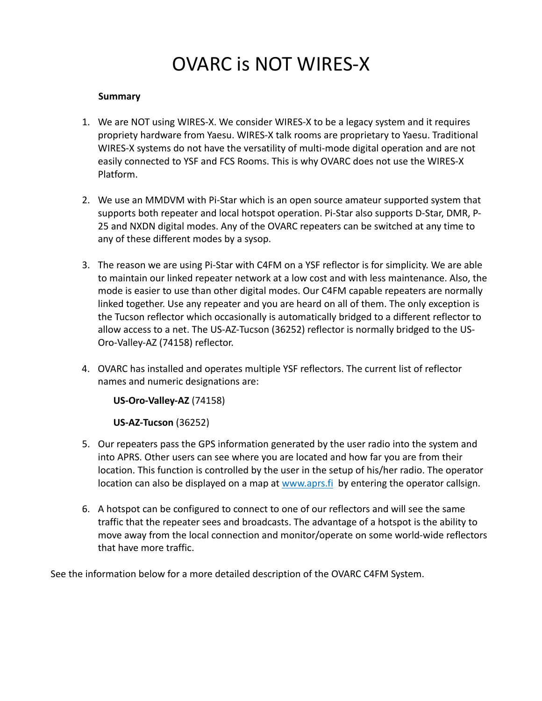## OVARC is NOT WIRES-X

## **Summary**

- 1. We are NOT using WIRES-X. We consider WIRES-X to be a legacy system and it requires propriety hardware from Yaesu. WIRES-X talk rooms are proprietary to Yaesu. Traditional WIRES-X systems do not have the versatility of multi-mode digital operation and are not easily connected to YSF and FCS Rooms. This is why OVARC does not use the WIRES-X Platform.
- 2. We use an MMDVM with Pi-Star which is an open source amateur supported system that supports both repeater and local hotspot operation. Pi-Star also supports D-Star, DMR, P-25 and NXDN digital modes. Any of the OVARC repeaters can be switched at any time to any of these different modes by a sysop.
- 3. The reason we are using Pi-Star with C4FM on a YSF reflector is for simplicity. We are able to maintain our linked repeater network at a low cost and with less maintenance. Also, the mode is easier to use than other digital modes. Our C4FM capable repeaters are normally linked together. Use any repeater and you are heard on all of them. The only exception is the Tucson reflector which occasionally is automatically bridged to a different reflector to allow access to a net. The US-AZ-Tucson (36252) reflector is normally bridged to the US-Oro-Valley-AZ (74158) reflector.
- 4. OVARC has installed and operates multiple YSF reflectors. The current list of reflector names and numeric designations are:

**US-Oro-Valley-AZ** (74158)

**US-AZ-Tucson** (36252)

- 5. Our repeaters pass the GPS information generated by the user radio into the system and into APRS. Other users can see where you are located and how far you are from their location. This function is controlled by the user in the setup of his/her radio. The operator location can also be displayed on a map at www.aprs.fi by entering the operator callsign.
- 6. A hotspot can be configured to connect to one of our reflectors and will see the same traffic that the repeater sees and broadcasts. The advantage of a hotspot is the ability to move away from the local connection and monitor/operate on some world-wide reflectors that have more traffic.

See the information below for a more detailed description of the OVARC C4FM System.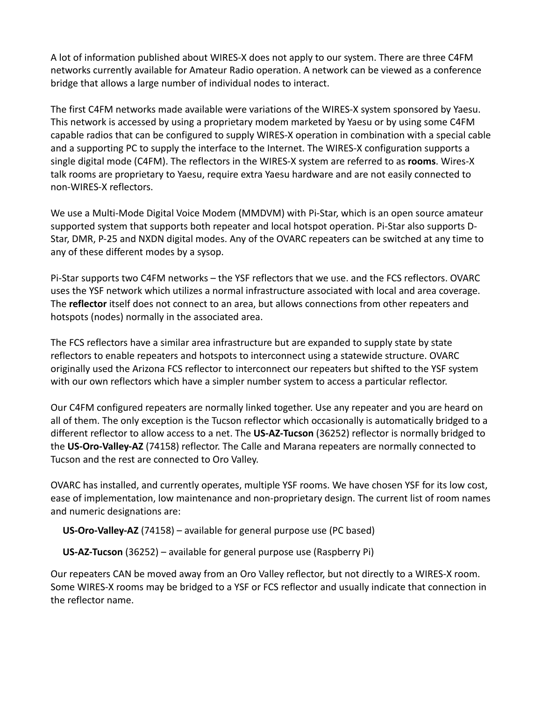A lot of information published about WIRES-X does not apply to our system. There are three C4FM networks currently available for Amateur Radio operation. A network can be viewed as a conference bridge that allows a large number of individual nodes to interact.

The first C4FM networks made available were variations of the WIRES-X system sponsored by Yaesu. This network is accessed by using a proprietary modem marketed by Yaesu or by using some C4FM capable radios that can be configured to supply WIRES-X operation in combination with a special cable and a supporting PC to supply the interface to the Internet. The WIRES-X configuration supports a single digital mode (C4FM). The reflectors in the WIRES-X system are referred to as **rooms**. Wires-X talk rooms are proprietary to Yaesu, require extra Yaesu hardware and are not easily connected to non-WIRES-X reflectors.

We use a Multi-Mode Digital Voice Modem (MMDVM) with Pi-Star, which is an open source amateur supported system that supports both repeater and local hotspot operation. Pi-Star also supports D-Star, DMR, P-25 and NXDN digital modes. Any of the OVARC repeaters can be switched at any time to any of these different modes by a sysop.

Pi-Star supports two C4FM networks – the YSF reflectors that we use. and the FCS reflectors. OVARC uses the YSF network which utilizes a normal infrastructure associated with local and area coverage. The **reflector** itself does not connect to an area, but allows connections from other repeaters and hotspots (nodes) normally in the associated area.

The FCS reflectors have a similar area infrastructure but are expanded to supply state by state reflectors to enable repeaters and hotspots to interconnect using a statewide structure. OVARC originally used the Arizona FCS reflector to interconnect our repeaters but shifted to the YSF system with our own reflectors which have a simpler number system to access a particular reflector.

Our C4FM configured repeaters are normally linked together. Use any repeater and you are heard on all of them. The only exception is the Tucson reflector which occasionally is automatically bridged to a different reflector to allow access to a net. The **US-AZ-Tucson** (36252) reflector is normally bridged to the **US-Oro-Valley-AZ** (74158) reflector. The Calle and Marana repeaters are normally connected to Tucson and the rest are connected to Oro Valley.

OVARC has installed, and currently operates, multiple YSF rooms. We have chosen YSF for its low cost, ease of implementation, low maintenance and non-proprietary design. The current list of room names and numeric designations are:

**US-Oro-Valley-AZ** (74158) – available for general purpose use (PC based)

**US-AZ-Tucson** (36252) – available for general purpose use (Raspberry Pi)

Our repeaters CAN be moved away from an Oro Valley reflector, but not directly to a WIRES-X room. Some WIRES-X rooms may be bridged to a YSF or FCS reflector and usually indicate that connection in the reflector name.